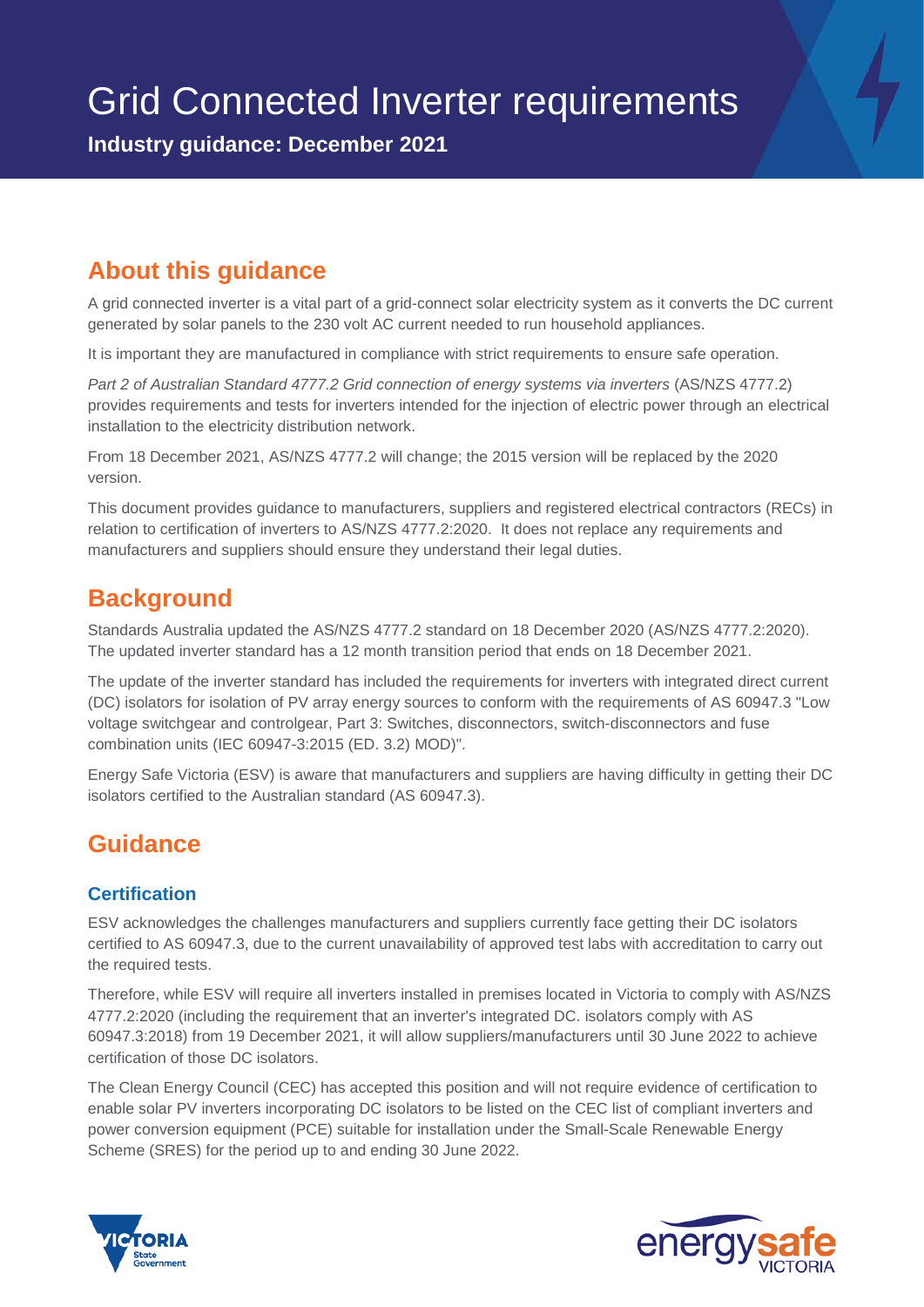**Industry guidance: December 2021**

## **About this guidance**

A grid connected inverter is a vital part of a grid-connect solar electricity system as it converts the DC current generated by solar panels to the 230 volt AC current needed to run household appliances.

It is important they are manufactured in compliance with strict requirements to ensure safe operation.

*Part 2 of Australian Standard 4777.2 Grid connection of energy systems via inverters* (AS/NZS 4777.2) provides requirements and tests for inverters intended for the injection of electric power through an electrical installation to the electricity distribution network.

From 18 December 2021, AS/NZS 4777.2 will change; the 2015 version will be replaced by the 2020 version.

This document provides guidance to manufacturers, suppliers and registered electrical contractors (RECs) in relation to certification of inverters to AS/NZS 4777.2:2020. It does not replace any requirements and manufacturers and suppliers should ensure they understand their legal duties.

### **Background**

Standards Australia updated the AS/NZS 4777.2 standard on 18 December 2020 (AS/NZS 4777.2:2020). The updated inverter standard has a 12 month transition period that ends on 18 December 2021.

The update of the inverter standard has included the requirements for inverters with integrated direct current (DC) isolators for isolation of PV array energy sources to conform with the requirements of AS 60947.3 "Low voltage switchgear and controlgear, Part 3: Switches, disconnectors, switch-disconnectors and fuse combination units (IEC 60947-3:2015 (ED. 3.2) MOD)".

Energy Safe Victoria (ESV) is aware that manufacturers and suppliers are having difficulty in getting their DC isolators certified to the Australian standard (AS 60947.3).

# **Guidance**

### **Certification**

ESV acknowledges the challenges manufacturers and suppliers currently face getting their DC isolators certified to AS 60947.3, due to the current unavailability of approved test labs with accreditation to carry out the required tests.

Therefore, while ESV will require all inverters installed in premises located in Victoria to comply with AS/NZS 4777.2:2020 (including the requirement that an inverter's integrated DC. isolators comply with AS 60947.3:2018) from 19 December 2021, it will allow suppliers/manufacturers until 30 June 2022 to achieve certification of those DC isolators.

The Clean Energy Council (CEC) has accepted this position and will not require evidence of certification to enable solar PV inverters incorporating DC isolators to be listed on the CEC list of compliant inverters and power conversion equipment (PCE) suitable for installation under the Small-Scale Renewable Energy Scheme (SRES) for the period up to and ending 30 June 2022.